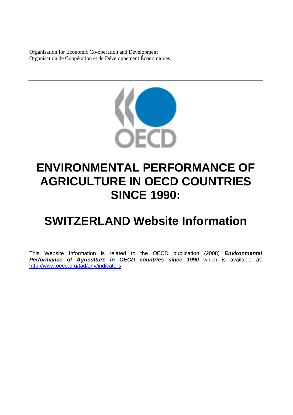Organisation for Economic Co-operation and Development Organisation de Coopération et de Développement Économiques



# **ENVIRONMENTAL PERFORMANCE OF AGRICULTURE IN OECD COUNTRIES SINCE 1990:**

# **SWITZERLAND Website Information**

This Website Information is related to the OECD publication (2008) *Environmental Performance of Agriculture in OECD countries since 1990* which is available at: <http://www.oecd.org/tad/env/indicators>